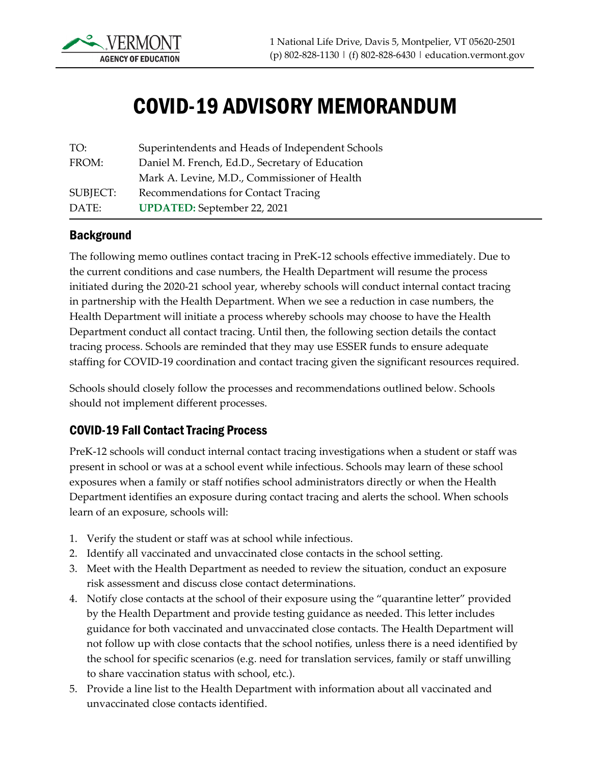

# COVID-19 ADVISORY MEMORANDUM

| TO:      | Superintendents and Heads of Independent Schools |
|----------|--------------------------------------------------|
| FROM:    | Daniel M. French, Ed.D., Secretary of Education  |
|          | Mark A. Levine, M.D., Commissioner of Health     |
| SUBJECT: | Recommendations for Contact Tracing              |
| DATE:    | <b>UPDATED:</b> September 22, 2021               |

#### **Background**

The following memo outlines contact tracing in PreK-12 schools effective immediately. Due to the current conditions and case numbers, the Health Department will resume the process initiated during the 2020-21 school year, whereby schools will conduct internal contact tracing in partnership with the Health Department. When we see a reduction in case numbers, the Health Department will initiate a process whereby schools may choose to have the Health Department conduct all contact tracing. Until then, the following section details the contact tracing process. Schools are reminded that they may use ESSER funds to ensure adequate staffing for COVID-19 coordination and contact tracing given the significant resources required.

Schools should closely follow the processes and recommendations outlined below. Schools should not implement different processes.

#### COVID-19 Fall Contact Tracing Process

PreK-12 schools will conduct internal contact tracing investigations when a student or staff was present in school or was at a school event while infectious. Schools may learn of these school exposures when a family or staff notifies school administrators directly or when the Health Department identifies an exposure during contact tracing and alerts the school. When schools learn of an exposure, schools will:

- 1. Verify the student or staff was at school while infectious.
- 2. Identify all vaccinated and unvaccinated close contacts in the school setting.
- 3. Meet with the Health Department as needed to review the situation, conduct an exposure risk assessment and discuss close contact determinations.
- 4. Notify close contacts at the school of their exposure using the "quarantine letter" provided by the Health Department and provide testing guidance as needed. This letter includes guidance for both vaccinated and unvaccinated close contacts. The Health Department will not follow up with close contacts that the school notifies, unless there is a need identified by the school for specific scenarios (e.g. need for translation services, family or staff unwilling to share vaccination status with school, etc.).
- 5. Provide a line list to the Health Department with information about all vaccinated and unvaccinated close contacts identified.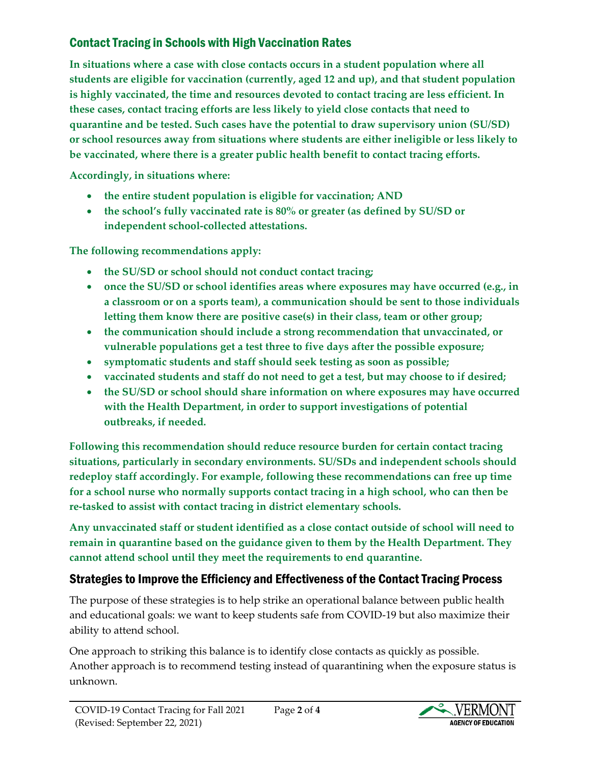# Contact Tracing in Schools with High Vaccination Rates

**In situations where a case with close contacts occurs in a student population where all students are eligible for vaccination (currently, aged 12 and up), and that student population is highly vaccinated, the time and resources devoted to contact tracing are less efficient. In these cases, contact tracing efforts are less likely to yield close contacts that need to quarantine and be tested. Such cases have the potential to draw supervisory union (SU/SD) or school resources away from situations where students are either ineligible or less likely to be vaccinated, where there is a greater public health benefit to contact tracing efforts.**

**Accordingly, in situations where:**

- **the entire student population is eligible for vaccination; AND**
- **the school's fully vaccinated rate is 80% or greater (as defined by SU/SD or independent school-collected attestations.**

**The following recommendations apply:**

- **the SU/SD or school should not conduct contact tracing;**
- **once the SU/SD or school identifies areas where exposures may have occurred (e.g., in a classroom or on a sports team), a communication should be sent to those individuals letting them know there are positive case(s) in their class, team or other group;**
- **the communication should include a strong recommendation that unvaccinated, or vulnerable populations get a test three to five days after the possible exposure;**
- **symptomatic students and staff should seek testing as soon as possible;**
- **vaccinated students and staff do not need to get a test, but may choose to if desired;**
- **the SU/SD or school should share information on where exposures may have occurred with the Health Department, in order to support investigations of potential outbreaks, if needed.**

**Following this recommendation should reduce resource burden for certain contact tracing situations, particularly in secondary environments. SU/SDs and independent schools should redeploy staff accordingly. For example, following these recommendations can free up time for a school nurse who normally supports contact tracing in a high school, who can then be re-tasked to assist with contact tracing in district elementary schools.**

**Any unvaccinated staff or student identified as a close contact outside of school will need to remain in quarantine based on the guidance given to them by the Health Department. They cannot attend school until they meet the requirements to end quarantine.**

## Strategies to Improve the Efficiency and Effectiveness of the Contact Tracing Process

The purpose of these strategies is to help strike an operational balance between public health and educational goals: we want to keep students safe from COVID-19 but also maximize their ability to attend school.

One approach to striking this balance is to identify close contacts as quickly as possible. Another approach is to recommend testing instead of quarantining when the exposure status is unknown.

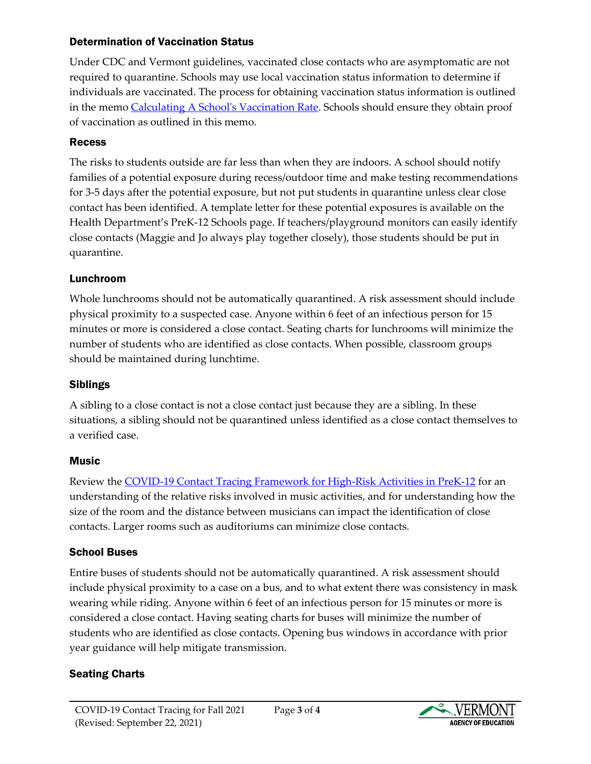#### Determination of Vaccination Status

Under CDC and Vermont guidelines, vaccinated close contacts who are asymptomatic are not required to quarantine. Schools may use local vaccination status information to determine if individuals are vaccinated. The process for obtaining vaccination status information is outlined in the memo [Calculating A School's Vaccination Rate.](https://education.vermont.gov/sites/aoe/files/documents/edu-vdh-memo-french-levine-advisory-covid19-vaccine-rate-calculations.pdf) Schools should ensure they obtain proof of vaccination as outlined in this memo.

#### Recess

The risks to students outside are far less than when they are indoors. A school should notify families of a potential exposure during recess/outdoor time and make testing recommendations for 3-5 days after the potential exposure, but not put students in quarantine unless clear close contact has been identified. A template letter for these potential exposures is available on the Health Department's PreK-12 Schools page. If teachers/playground monitors can easily identify close contacts (Maggie and Jo always play together closely), those students should be put in quarantine.

### Lunchroom

Whole lunchrooms should not be automatically quarantined. A risk assessment should include physical proximity to a suspected case. Anyone within 6 feet of an infectious person for 15 minutes or more is considered a close contact. Seating charts for lunchrooms will minimize the number of students who are identified as close contacts. When possible, classroom groups should be maintained during lunchtime.

## Siblings

A sibling to a close contact is not a close contact just because they are a sibling. In these situations, a sibling should not be quarantined unless identified as a close contact themselves to a verified case.

#### **Music**

Review the [COVID-19 Contact Tracing Framework for High-Risk Activities in PreK-12](https://www.healthvermont.gov/sites/default/files/documents/pdf/COVID-19-Framework-High-Risk-Activities.pdf) for an understanding of the relative risks involved in music activities, and for understanding how the size of the room and the distance between musicians can impact the identification of close contacts. Larger rooms such as auditoriums can minimize close contacts.

#### School Buses

Entire buses of students should not be automatically quarantined. A risk assessment should include physical proximity to a case on a bus, and to what extent there was consistency in mask wearing while riding. Anyone within 6 feet of an infectious person for 15 minutes or more is considered a close contact. Having seating charts for buses will minimize the number of students who are identified as close contacts. Opening bus windows in accordance with prior year guidance will help mitigate transmission.

#### Seating Charts